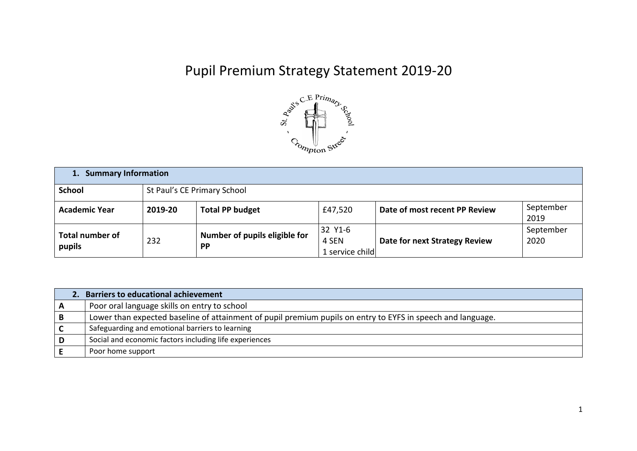## Pupil Premium Strategy Statement 2019-20



| 1. Summary Information           |                             |                                            |                                     |                               |                   |  |
|----------------------------------|-----------------------------|--------------------------------------------|-------------------------------------|-------------------------------|-------------------|--|
| <b>School</b>                    | St Paul's CE Primary School |                                            |                                     |                               |                   |  |
| <b>Academic Year</b>             | 2019-20                     | <b>Total PP budget</b>                     | £47,520                             | Date of most recent PP Review | September<br>2019 |  |
| <b>Total number of</b><br>pupils | 232                         | Number of pupils eligible for<br><b>PP</b> | 32 Y1-6<br>4 SEN<br>1 service child | Date for next Strategy Review | September<br>2020 |  |

|     | 2. Barriers to educational achievement                                                                      |
|-----|-------------------------------------------------------------------------------------------------------------|
| A   | Poor oral language skills on entry to school                                                                |
| B   | Lower than expected baseline of attainment of pupil premium pupils on entry to EYFS in speech and language. |
|     | Safeguarding and emotional barriers to learning                                                             |
| ⊤D. | Social and economic factors including life experiences                                                      |
|     | Poor home support                                                                                           |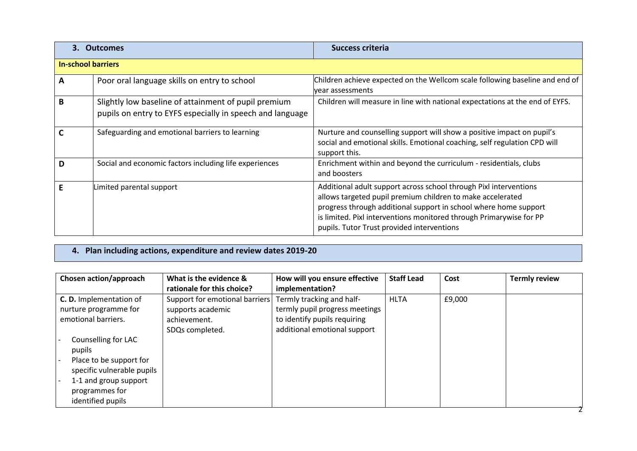| 3. Outcomes               |                                                                                                                   | Success criteria                                                                                                                                                                                                                                                                                                         |  |  |  |  |
|---------------------------|-------------------------------------------------------------------------------------------------------------------|--------------------------------------------------------------------------------------------------------------------------------------------------------------------------------------------------------------------------------------------------------------------------------------------------------------------------|--|--|--|--|
| <b>In-school barriers</b> |                                                                                                                   |                                                                                                                                                                                                                                                                                                                          |  |  |  |  |
| A                         | Poor oral language skills on entry to school                                                                      | Children achieve expected on the Wellcom scale following baseline and end of<br>vear assessments                                                                                                                                                                                                                         |  |  |  |  |
| B                         | Slightly low baseline of attainment of pupil premium<br>pupils on entry to EYFS especially in speech and language | Children will measure in line with national expectations at the end of EYFS.                                                                                                                                                                                                                                             |  |  |  |  |
|                           | Safeguarding and emotional barriers to learning                                                                   | Nurture and counselling support will show a positive impact on pupil's<br>social and emotional skills. Emotional coaching, self regulation CPD will<br>support this.                                                                                                                                                     |  |  |  |  |
| D                         | Social and economic factors including life experiences                                                            | Enrichment within and beyond the curriculum - residentials, clubs<br>and boosters                                                                                                                                                                                                                                        |  |  |  |  |
|                           | Limited parental support                                                                                          | Additional adult support across school through Pixl interventions<br>allows targeted pupil premium children to make accelerated<br>progress through additional support in school where home support<br>is limited. Pixl interventions monitored through Primarywise for PP<br>pupils. Tutor Trust provided interventions |  |  |  |  |

**4. Plan including actions, expenditure and review dates 2019-20**

| Chosen action/approach                                                                                                          | What is the evidence &<br>rationale for this choice?                                   | How will you ensure effective<br>implementation?                                                                            | <b>Staff Lead</b> | Cost   | <b>Termly review</b> |
|---------------------------------------------------------------------------------------------------------------------------------|----------------------------------------------------------------------------------------|-----------------------------------------------------------------------------------------------------------------------------|-------------------|--------|----------------------|
| C.D. Implementation of<br>nurture programme for<br>emotional barriers.<br>Counselling for LAC                                   | Support for emotional barriers<br>supports academic<br>achievement.<br>SDQs completed. | Termly tracking and half-<br>termly pupil progress meetings<br>to identify pupils requiring<br>additional emotional support | <b>HLTA</b>       | £9,000 |                      |
| pupils<br>Place to be support for<br>specific vulnerable pupils<br>1-1 and group support<br>programmes for<br>identified pupils |                                                                                        |                                                                                                                             |                   |        |                      |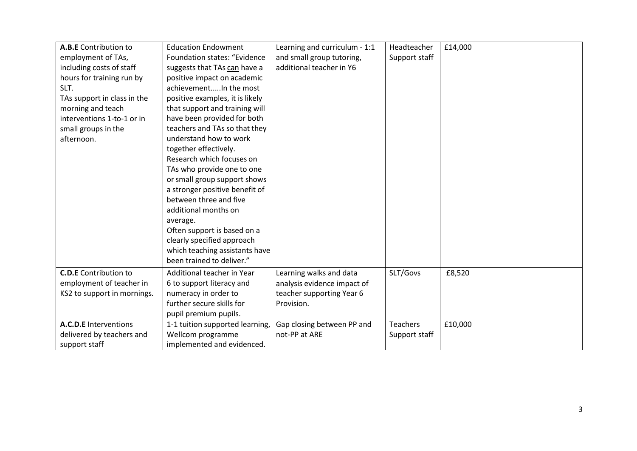| A.B.E Contribution to        | <b>Education Endowment</b>      | Learning and curriculum - 1:1 | Headteacher     | £14,000 |  |
|------------------------------|---------------------------------|-------------------------------|-----------------|---------|--|
| employment of TAs,           | Foundation states: "Evidence    | and small group tutoring,     | Support staff   |         |  |
| including costs of staff     | suggests that TAs can have a    | additional teacher in Y6      |                 |         |  |
| hours for training run by    | positive impact on academic     |                               |                 |         |  |
| SLT.                         | achievementIn the most          |                               |                 |         |  |
| TAs support in class in the  | positive examples, it is likely |                               |                 |         |  |
| morning and teach            | that support and training will  |                               |                 |         |  |
| interventions 1-to-1 or in   | have been provided for both     |                               |                 |         |  |
| small groups in the          | teachers and TAs so that they   |                               |                 |         |  |
| afternoon.                   | understand how to work          |                               |                 |         |  |
|                              | together effectively.           |                               |                 |         |  |
|                              | Research which focuses on       |                               |                 |         |  |
|                              | TAs who provide one to one      |                               |                 |         |  |
|                              | or small group support shows    |                               |                 |         |  |
|                              | a stronger positive benefit of  |                               |                 |         |  |
|                              | between three and five          |                               |                 |         |  |
|                              | additional months on            |                               |                 |         |  |
|                              | average.                        |                               |                 |         |  |
|                              | Often support is based on a     |                               |                 |         |  |
|                              | clearly specified approach      |                               |                 |         |  |
|                              | which teaching assistants have  |                               |                 |         |  |
|                              | been trained to deliver."       |                               |                 |         |  |
| <b>C.D.E</b> Contribution to | Additional teacher in Year      | Learning walks and data       | SLT/Govs        | £8,520  |  |
| employment of teacher in     | 6 to support literacy and       | analysis evidence impact of   |                 |         |  |
| KS2 to support in mornings.  | numeracy in order to            | teacher supporting Year 6     |                 |         |  |
|                              | further secure skills for       | Provision.                    |                 |         |  |
|                              | pupil premium pupils.           |                               |                 |         |  |
| A.C.D.E Interventions        | 1-1 tuition supported learning, | Gap closing between PP and    | <b>Teachers</b> | £10,000 |  |
| delivered by teachers and    | Wellcom programme               | not-PP at ARE                 | Support staff   |         |  |
| support staff                | implemented and evidenced.      |                               |                 |         |  |